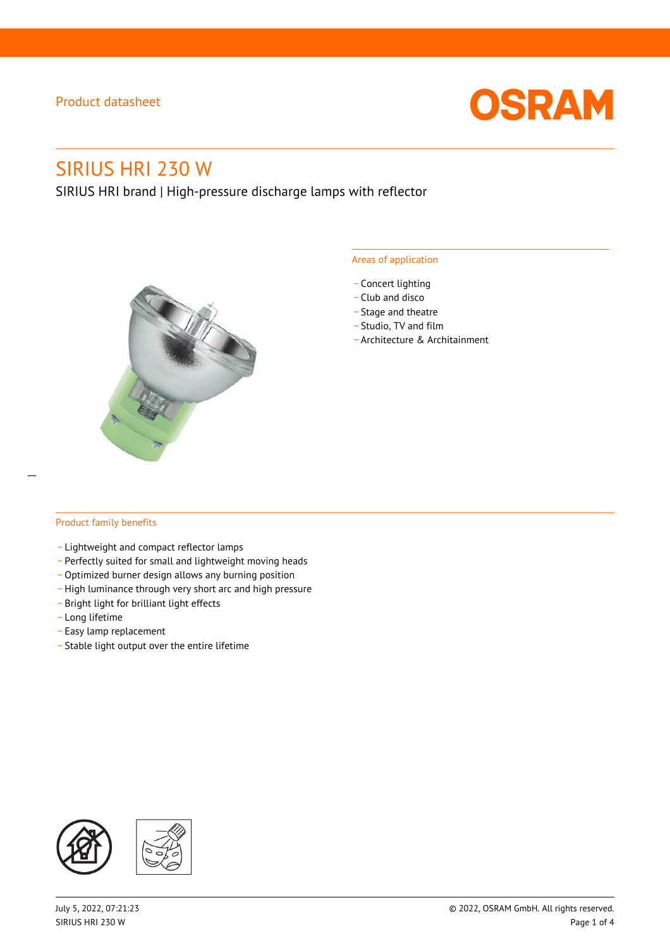

# SIRIUS HRI 230 W

SIRIUS HRI brand | High-pressure discharge lamps with reflector



#### Areas of application

- Concert lighting
- \_ Club and disco
- Stage and theatre
- \_ Studio, TV and film
- \_ Architecture & Architainment

#### Product family benefits

- \_ Lightweight and compact reflector lamps
- \_ Perfectly suited for small and lightweight moving heads
- Optimized burner design allows any burning position
- High luminance through very short arc and high pressure
- \_ Bright light for brilliant light effects
- \_ Long lifetime
- \_ Easy lamp replacement
- \_ Stable light output over the entire lifetime

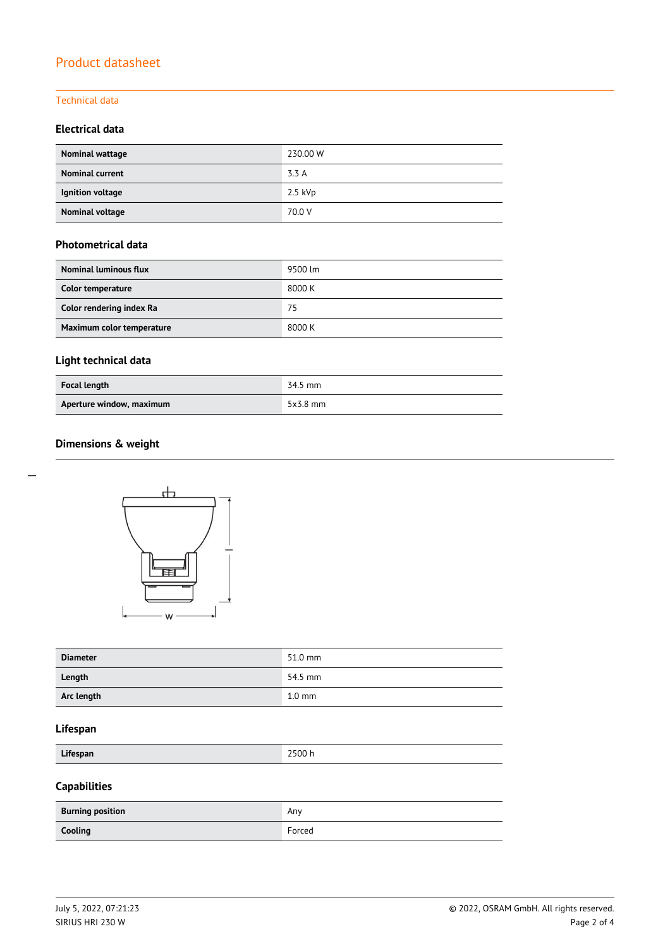#### Technical data

#### **Electrical data**

| Nominal wattage        | 230.00 W  |
|------------------------|-----------|
| <b>Nominal current</b> | 3.3 A     |
| Ignition voltage       | $2.5$ kVp |
| <b>Nominal voltage</b> | 70.0 V    |

#### **Photometrical data**

| <b>Nominal luminous flux</b> | 9500 lm |
|------------------------------|---------|
| Color temperature            | 8000 K  |
| Color rendering index Ra     | 75      |
| Maximum color temperature    | 8000 K  |

## **Light technical data**

| <b>Focal length</b>      | 34.5 mm    |
|--------------------------|------------|
| Aperture window, maximum | $5x3.8$ mm |

### **Dimensions & weight**



| <b>Diameter</b> | 51.0 mm          |
|-----------------|------------------|
| Length          | 54.5 mm          |
| Arc length      | $1.0 \text{ mm}$ |

#### **Lifespan**

| Lifespan | 2500 h |
|----------|--------|
|          |        |

## **Capabilities**

| <b>Burning position</b> | Any    |
|-------------------------|--------|
| Cooling                 | Forced |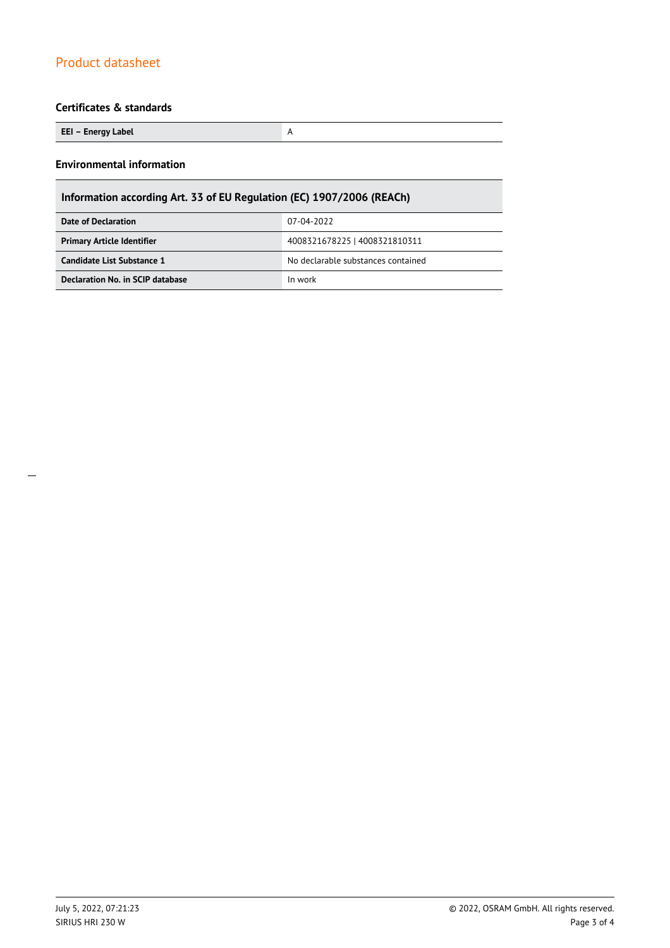### **Certificates & standards**

| EEI – Energy Label |  |
|--------------------|--|
|--------------------|--|

#### **Environmental information**

| Information according Art. 33 of EU Regulation (EC) 1907/2006 (REACh) |                                    |  |
|-----------------------------------------------------------------------|------------------------------------|--|
| Date of Declaration                                                   | 07-04-2022                         |  |
| <b>Primary Article Identifier</b>                                     | 4008321678225   4008321810311      |  |
| Candidate List Substance 1                                            | No declarable substances contained |  |
| Declaration No. in SCIP database                                      | In work                            |  |